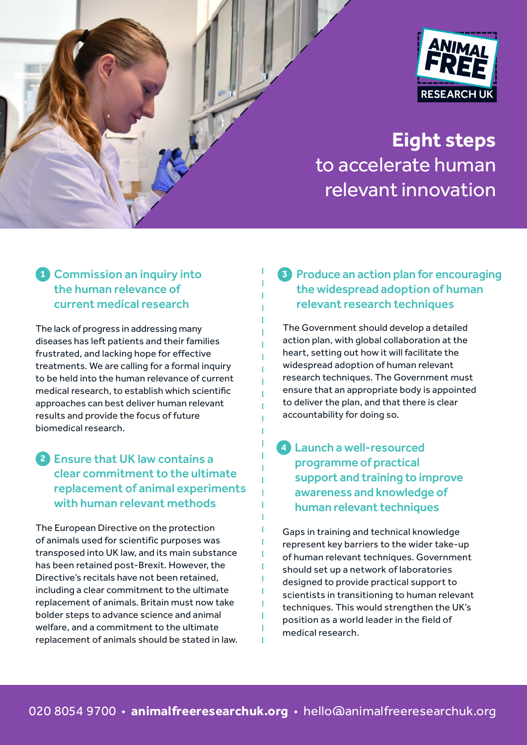



# **Eight steps** to accelerate human relevant innovation

### **1** Commission an inquiry into the human relevance of current medical research

The lack of progress in addressing many diseases has left patients and their families frustrated, and lacking hope for effective treatments. We are calling for a formal inquiry to be held into the human relevance of current medical research, to establish which scientific approaches can best deliver human relevant results and provide the focus of future biomedical research.

# **2** Ensure that UK law contains a clear commitment to the ultimate replacement of animal experiments with human relevant methods

The European Directive on the protection of animals used for scientific purposes was transposed into UK law, and its main substance has been retained post-Brexit. However, the Directive's recitals have not been retained, including a clear commitment to the ultimate replacement of animals. Britain must now take bolder steps to advance science and animal welfare, and a commitment to the ultimate replacement of animals should be stated in law.

#### **3** Produce an action plan for encouraging the widespread adoption of human relevant research techniques

The Government should develop a detailed action plan, with global collaboration at the heart, setting out how it will facilitate the widespread adoption of human relevant research techniques. The Government must ensure that an appropriate body is appointed to deliver the plan, and that there is clear accountability for doing so.

#### **4** Launch a well-resourced programme of practical support and training to improve awareness and knowledge of human relevant techniques

Gaps in training and technical knowledge represent key barriers to the wider take-up of human relevant techniques. Government should set up a network of laboratories designed to provide practical support to scientists in transitioning to human relevant techniques. This would strengthen the UK's position as a world leader in the field of medical research.